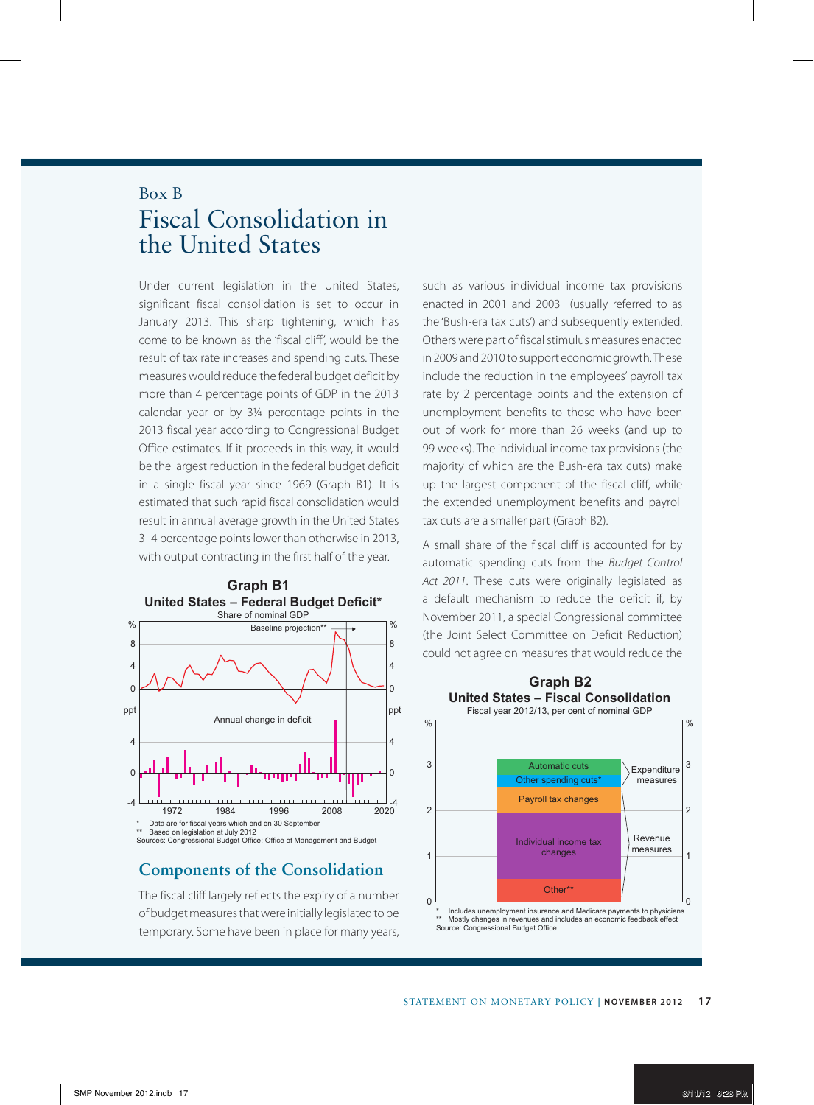## Box B Fiscal Consolidation in the United States

Under current legislation in the United States, significant fiscal consolidation is set to occur in January 2013. This sharp tightening, which has come to be known as the 'fiscal cliff', would be the result of tax rate increases and spending cuts. These measures would reduce the federal budget deficit by more than 4 percentage points of GDP in the 2013 calendar year or by 3¼ percentage points in the 2013 fiscal year according to Congressional Budget Office estimates. If it proceeds in this way, it would be the largest reduction in the federal budget deficit in a single fiscal year since 1969 (Graph B1). It is estimated that such rapid fiscal consolidation would result in annual average growth in the United States 3–4 percentage points lower than otherwise in 2013, with output contracting in the first half of the year.



## **Components of the Consolidation**

The fiscal cliff largely reflects the expiry of a number of budget measures that were initially legislated to be temporary. Some have been in place for many years,

such as various individual income tax provisions enacted in 2001 and 2003 (usually referred to as the 'Bush-era tax cuts') and subsequently extended. Others were part of fiscal stimulus measures enacted in 2009 and 2010 to support economic growth. These include the reduction in the employees' payroll tax rate by 2 percentage points and the extension of unemployment benefits to those who have been out of work for more than 26 weeks (and up to 99 weeks). The individual income tax provisions (the majority of which are the Bush-era tax cuts) make up the largest component of the fiscal cliff, while the extended unemployment benefits and payroll tax cuts are a smaller part (Graph B2).

A small share of the fiscal cliff is accounted for by automatic spending cuts from the *Budget Control Act 2011*. These cuts were originally legislated as a default mechanism to reduce the deficit if, by November 2011, a special Congressional committee (the Joint Select Committee on Deficit Reduction) could not agree on measures that would reduce the



\* Includes unemployment insurance and Medicare payments to physicians<br>\*\* Mostly changes in revenues and includes an economic feedback effect<br>Source: Congressional Budget Office